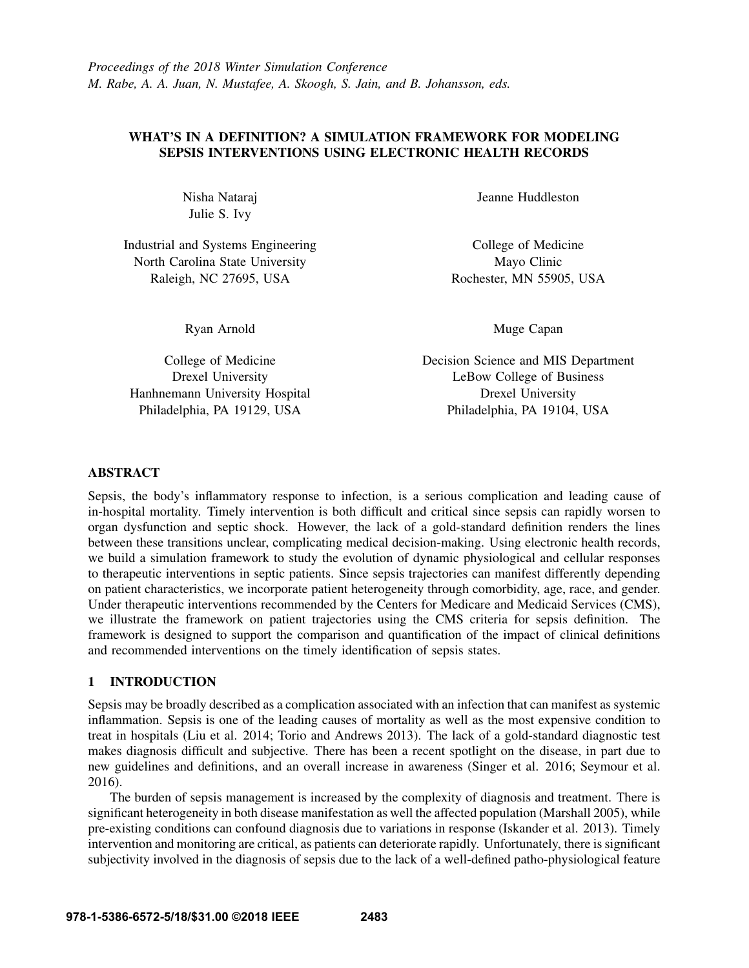# WHAT'S IN A DEFINITION? A SIMULATION FRAMEWORK FOR MODELING SEPSIS INTERVENTIONS USING ELECTRONIC HEALTH RECORDS

Nisha Nataraj Julie S. Ivy

Industrial and Systems Engineering North Carolina State University Raleigh, NC 27695, USA

Ryan Arnold

College of Medicine Drexel University Hanhnemann University Hospital Philadelphia, PA 19129, USA

Jeanne Huddleston

College of Medicine Mayo Clinic Rochester, MN 55905, USA

Muge Capan

Decision Science and MIS Department LeBow College of Business Drexel University Philadelphia, PA 19104, USA

# ABSTRACT

Sepsis, the body's inflammatory response to infection, is a serious complication and leading cause of in-hospital mortality. Timely intervention is both difficult and critical since sepsis can rapidly worsen to organ dysfunction and septic shock. However, the lack of a gold-standard definition renders the lines between these transitions unclear, complicating medical decision-making. Using electronic health records, we build a simulation framework to study the evolution of dynamic physiological and cellular responses to therapeutic interventions in septic patients. Since sepsis trajectories can manifest differently depending on patient characteristics, we incorporate patient heterogeneity through comorbidity, age, race, and gender. Under therapeutic interventions recommended by the Centers for Medicare and Medicaid Services (CMS), we illustrate the framework on patient trajectories using the CMS criteria for sepsis definition. The framework is designed to support the comparison and quantification of the impact of clinical definitions and recommended interventions on the timely identification of sepsis states.

### 1 INTRODUCTION

Sepsis may be broadly described as a complication associated with an infection that can manifest as systemic inflammation. Sepsis is one of the leading causes of mortality as well as the most expensive condition to treat in hospitals (Liu et al. 2014; Torio and Andrews 2013). The lack of a gold-standard diagnostic test makes diagnosis difficult and subjective. There has been a recent spotlight on the disease, in part due to new guidelines and definitions, and an overall increase in awareness (Singer et al. 2016; Seymour et al. 2016).

The burden of sepsis management is increased by the complexity of diagnosis and treatment. There is significant heterogeneity in both disease manifestation as well the affected population (Marshall 2005), while pre-existing conditions can confound diagnosis due to variations in response (Iskander et al. 2013). Timely intervention and monitoring are critical, as patients can deteriorate rapidly. Unfortunately, there is significant subjectivity involved in the diagnosis of sepsis due to the lack of a well-defined patho-physiological feature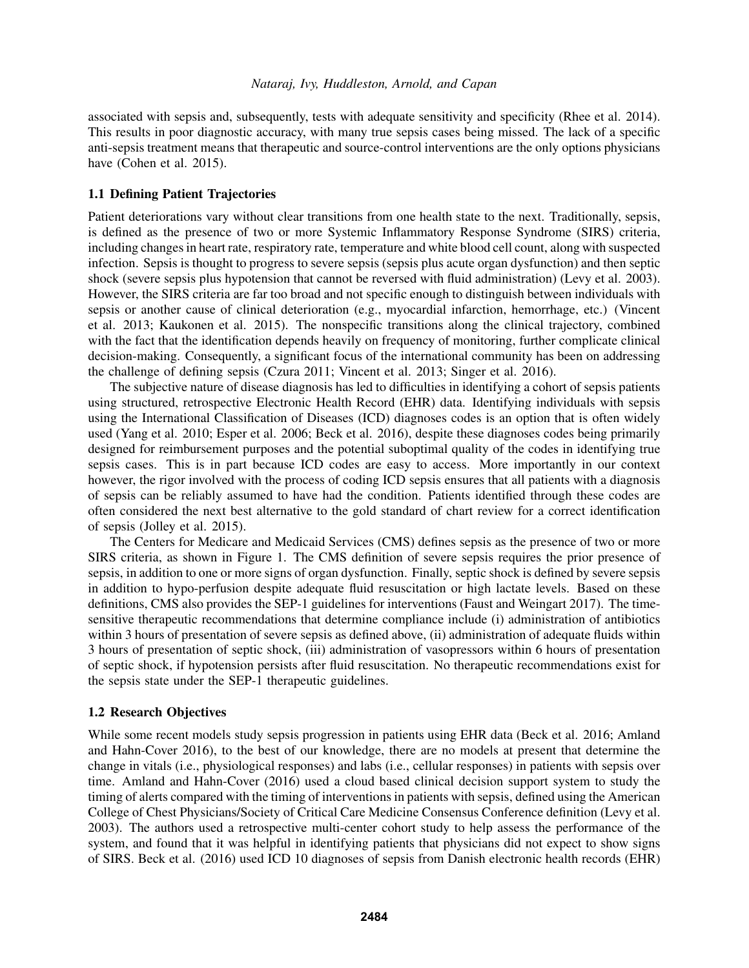associated with sepsis and, subsequently, tests with adequate sensitivity and specificity (Rhee et al. 2014). This results in poor diagnostic accuracy, with many true sepsis cases being missed. The lack of a specific anti-sepsis treatment means that therapeutic and source-control interventions are the only options physicians have (Cohen et al. 2015).

# 1.1 Defining Patient Trajectories

Patient deteriorations vary without clear transitions from one health state to the next. Traditionally, sepsis, is defined as the presence of two or more Systemic Inflammatory Response Syndrome (SIRS) criteria, including changes in heart rate, respiratory rate, temperature and white blood cell count, along with suspected infection. Sepsis is thought to progress to severe sepsis (sepsis plus acute organ dysfunction) and then septic shock (severe sepsis plus hypotension that cannot be reversed with fluid administration) (Levy et al. 2003). However, the SIRS criteria are far too broad and not specific enough to distinguish between individuals with sepsis or another cause of clinical deterioration (e.g., myocardial infarction, hemorrhage, etc.) (Vincent et al. 2013; Kaukonen et al. 2015). The nonspecific transitions along the clinical trajectory, combined with the fact that the identification depends heavily on frequency of monitoring, further complicate clinical decision-making. Consequently, a significant focus of the international community has been on addressing the challenge of defining sepsis (Czura 2011; Vincent et al. 2013; Singer et al. 2016).

The subjective nature of disease diagnosis has led to difficulties in identifying a cohort of sepsis patients using structured, retrospective Electronic Health Record (EHR) data. Identifying individuals with sepsis using the International Classification of Diseases (ICD) diagnoses codes is an option that is often widely used (Yang et al. 2010; Esper et al. 2006; Beck et al. 2016), despite these diagnoses codes being primarily designed for reimbursement purposes and the potential suboptimal quality of the codes in identifying true sepsis cases. This is in part because ICD codes are easy to access. More importantly in our context however, the rigor involved with the process of coding ICD sepsis ensures that all patients with a diagnosis of sepsis can be reliably assumed to have had the condition. Patients identified through these codes are often considered the next best alternative to the gold standard of chart review for a correct identification of sepsis (Jolley et al. 2015).

The Centers for Medicare and Medicaid Services (CMS) defines sepsis as the presence of two or more SIRS criteria, as shown in Figure 1. The CMS definition of severe sepsis requires the prior presence of sepsis, in addition to one or more signs of organ dysfunction. Finally, septic shock is defined by severe sepsis in addition to hypo-perfusion despite adequate fluid resuscitation or high lactate levels. Based on these definitions, CMS also provides the SEP-1 guidelines for interventions (Faust and Weingart 2017). The timesensitive therapeutic recommendations that determine compliance include (i) administration of antibiotics within 3 hours of presentation of severe sepsis as defined above, (ii) administration of adequate fluids within 3 hours of presentation of septic shock, (iii) administration of vasopressors within 6 hours of presentation of septic shock, if hypotension persists after fluid resuscitation. No therapeutic recommendations exist for the sepsis state under the SEP-1 therapeutic guidelines.

### 1.2 Research Objectives

While some recent models study sepsis progression in patients using EHR data (Beck et al. 2016; Amland and Hahn-Cover 2016), to the best of our knowledge, there are no models at present that determine the change in vitals (i.e., physiological responses) and labs (i.e., cellular responses) in patients with sepsis over time. Amland and Hahn-Cover (2016) used a cloud based clinical decision support system to study the timing of alerts compared with the timing of interventions in patients with sepsis, defined using the American College of Chest Physicians/Society of Critical Care Medicine Consensus Conference definition (Levy et al. 2003). The authors used a retrospective multi-center cohort study to help assess the performance of the system, and found that it was helpful in identifying patients that physicians did not expect to show signs of SIRS. Beck et al. (2016) used ICD 10 diagnoses of sepsis from Danish electronic health records (EHR)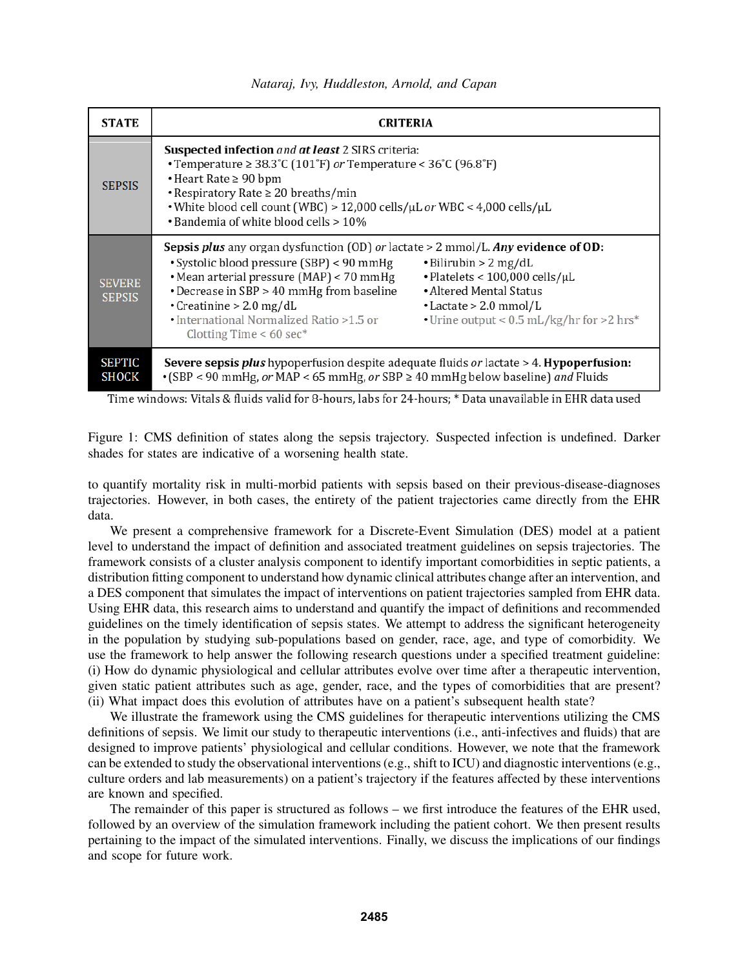| <b>STATE</b>                   | <b>CRITERIA</b>                                                                                                                                                                                                                                                                                                                                                                                                                                                                                                                  |  |  |  |  |
|--------------------------------|----------------------------------------------------------------------------------------------------------------------------------------------------------------------------------------------------------------------------------------------------------------------------------------------------------------------------------------------------------------------------------------------------------------------------------------------------------------------------------------------------------------------------------|--|--|--|--|
| <b>SEPSIS</b>                  | <b>Suspected infection</b> and <b>at least</b> 2 SIRS criteria:<br>• Temperature $\geq 38.3^{\circ}$ C (101 $^{\circ}$ F) <i>or</i> Temperature < 36 $^{\circ}$ C (96.8 $^{\circ}$ F)<br>$\cdot$ Heart Rate $\geq 90$ bpm<br>• Respiratory Rate $\geq 20$ breaths/min<br>• White blood cell count (WBC) > 12,000 cells/µL or WBC < 4,000 cells/µL<br>• Bandemia of white blood cells > 10%                                                                                                                                       |  |  |  |  |
| <b>SEVERE</b><br><b>SEPSIS</b> | <b>Sepsis plus</b> any organ dysfunction (OD) or lactate $> 2$ mmol/L. Any evidence of OD:<br>• Systolic blood pressure (SBP) < 90 mmHg<br>$\cdot$ Bilirubin > 2 mg/dL<br>• Mean arterial pressure (MAP) < 70 mmHg<br>$\cdot$ Platelets < 100,000 cells/ $\mu$ L<br>• Altered Mental Status<br>• Decrease in SBP > 40 mmHg from baseline<br>$\cdot$ Creatinine > 2.0 mg/dL<br>$\cdot$ Lactate > 2.0 mmol/L<br>• International Normalized Ratio >1.5 or<br>• Urine output < 0.5 mL/kg/hr for >2 hrs*<br>Clotting Time $< 60$ sec* |  |  |  |  |
| <b>SEPTIC</b><br><b>SHOCK</b>  | <b>Severe sepsis plus</b> hypoperfusion despite adequate fluids or lactate > 4. <b>Hypoperfusion:</b><br>• (SBP < 90 mmHg, or MAP < 65 mmHg, or SBP $\geq$ 40 mmHg below baseline) and Fluids                                                                                                                                                                                                                                                                                                                                    |  |  |  |  |

Time windows: Vitals & fluids valid for 8-hours, labs for 24-hours; \* Data unavailable in EHR data used

Figure 1: CMS definition of states along the sepsis trajectory. Suspected infection is undefined. Darker shades for states are indicative of a worsening health state.

to quantify mortality risk in multi-morbid patients with sepsis based on their previous-disease-diagnoses trajectories. However, in both cases, the entirety of the patient trajectories came directly from the EHR data.

We present a comprehensive framework for a Discrete-Event Simulation (DES) model at a patient level to understand the impact of definition and associated treatment guidelines on sepsis trajectories. The framework consists of a cluster analysis component to identify important comorbidities in septic patients, a distribution fitting component to understand how dynamic clinical attributes change after an intervention, and a DES component that simulates the impact of interventions on patient trajectories sampled from EHR data. Using EHR data, this research aims to understand and quantify the impact of definitions and recommended guidelines on the timely identification of sepsis states. We attempt to address the significant heterogeneity in the population by studying sub-populations based on gender, race, age, and type of comorbidity. We use the framework to help answer the following research questions under a specified treatment guideline: (i) How do dynamic physiological and cellular attributes evolve over time after a therapeutic intervention, given static patient attributes such as age, gender, race, and the types of comorbidities that are present? (ii) What impact does this evolution of attributes have on a patient's subsequent health state?

We illustrate the framework using the CMS guidelines for therapeutic interventions utilizing the CMS definitions of sepsis. We limit our study to therapeutic interventions (i.e., anti-infectives and fluids) that are designed to improve patients' physiological and cellular conditions. However, we note that the framework can be extended to study the observational interventions (e.g., shift to ICU) and diagnostic interventions (e.g., culture orders and lab measurements) on a patient's trajectory if the features affected by these interventions are known and specified.

The remainder of this paper is structured as follows – we first introduce the features of the EHR used, followed by an overview of the simulation framework including the patient cohort. We then present results pertaining to the impact of the simulated interventions. Finally, we discuss the implications of our findings and scope for future work.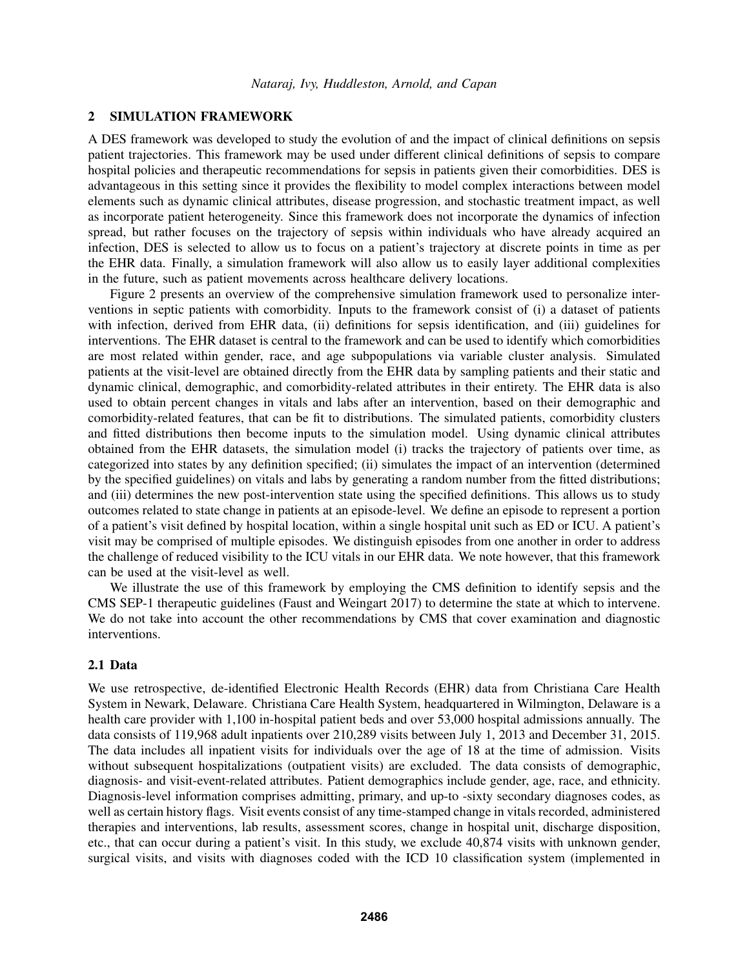### 2 SIMULATION FRAMEWORK

A DES framework was developed to study the evolution of and the impact of clinical definitions on sepsis patient trajectories. This framework may be used under different clinical definitions of sepsis to compare hospital policies and therapeutic recommendations for sepsis in patients given their comorbidities. DES is advantageous in this setting since it provides the flexibility to model complex interactions between model elements such as dynamic clinical attributes, disease progression, and stochastic treatment impact, as well as incorporate patient heterogeneity. Since this framework does not incorporate the dynamics of infection spread, but rather focuses on the trajectory of sepsis within individuals who have already acquired an infection, DES is selected to allow us to focus on a patient's trajectory at discrete points in time as per the EHR data. Finally, a simulation framework will also allow us to easily layer additional complexities in the future, such as patient movements across healthcare delivery locations.

Figure 2 presents an overview of the comprehensive simulation framework used to personalize interventions in septic patients with comorbidity. Inputs to the framework consist of (i) a dataset of patients with infection, derived from EHR data, (ii) definitions for sepsis identification, and (iii) guidelines for interventions. The EHR dataset is central to the framework and can be used to identify which comorbidities are most related within gender, race, and age subpopulations via variable cluster analysis. Simulated patients at the visit-level are obtained directly from the EHR data by sampling patients and their static and dynamic clinical, demographic, and comorbidity-related attributes in their entirety. The EHR data is also used to obtain percent changes in vitals and labs after an intervention, based on their demographic and comorbidity-related features, that can be fit to distributions. The simulated patients, comorbidity clusters and fitted distributions then become inputs to the simulation model. Using dynamic clinical attributes obtained from the EHR datasets, the simulation model (i) tracks the trajectory of patients over time, as categorized into states by any definition specified; (ii) simulates the impact of an intervention (determined by the specified guidelines) on vitals and labs by generating a random number from the fitted distributions; and (iii) determines the new post-intervention state using the specified definitions. This allows us to study outcomes related to state change in patients at an episode-level. We define an episode to represent a portion of a patient's visit defined by hospital location, within a single hospital unit such as ED or ICU. A patient's visit may be comprised of multiple episodes. We distinguish episodes from one another in order to address the challenge of reduced visibility to the ICU vitals in our EHR data. We note however, that this framework can be used at the visit-level as well.

We illustrate the use of this framework by employing the CMS definition to identify sepsis and the CMS SEP-1 therapeutic guidelines (Faust and Weingart 2017) to determine the state at which to intervene. We do not take into account the other recommendations by CMS that cover examination and diagnostic interventions.

### 2.1 Data

We use retrospective, de-identified Electronic Health Records (EHR) data from Christiana Care Health System in Newark, Delaware. Christiana Care Health System, headquartered in Wilmington, Delaware is a health care provider with 1,100 in-hospital patient beds and over 53,000 hospital admissions annually. The data consists of 119,968 adult inpatients over 210,289 visits between July 1, 2013 and December 31, 2015. The data includes all inpatient visits for individuals over the age of 18 at the time of admission. Visits without subsequent hospitalizations (outpatient visits) are excluded. The data consists of demographic, diagnosis- and visit-event-related attributes. Patient demographics include gender, age, race, and ethnicity. Diagnosis-level information comprises admitting, primary, and up-to -sixty secondary diagnoses codes, as well as certain history flags. Visit events consist of any time-stamped change in vitals recorded, administered therapies and interventions, lab results, assessment scores, change in hospital unit, discharge disposition, etc., that can occur during a patient's visit. In this study, we exclude 40,874 visits with unknown gender, surgical visits, and visits with diagnoses coded with the ICD 10 classification system (implemented in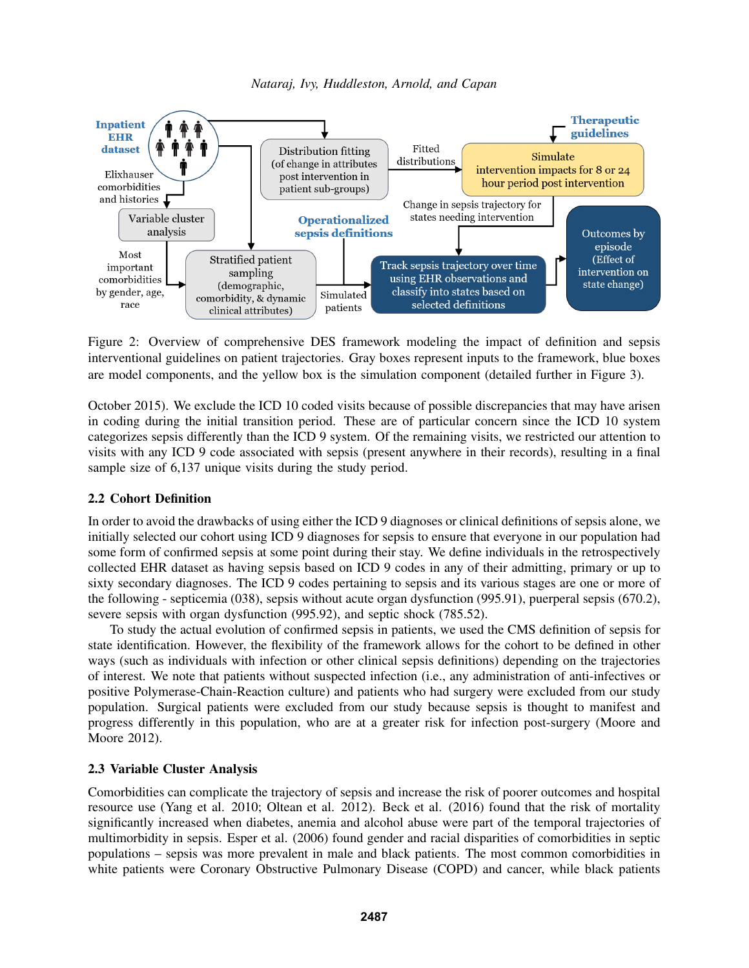



Figure 2: Overview of comprehensive DES framework modeling the impact of definition and sepsis interventional guidelines on patient trajectories. Gray boxes represent inputs to the framework, blue boxes are model components, and the yellow box is the simulation component (detailed further in Figure 3).

October 2015). We exclude the ICD 10 coded visits because of possible discrepancies that may have arisen in coding during the initial transition period. These are of particular concern since the ICD 10 system categorizes sepsis differently than the ICD 9 system. Of the remaining visits, we restricted our attention to visits with any ICD 9 code associated with sepsis (present anywhere in their records), resulting in a final sample size of 6,137 unique visits during the study period.

### 2.2 Cohort Definition

In order to avoid the drawbacks of using either the ICD 9 diagnoses or clinical definitions of sepsis alone, we initially selected our cohort using ICD 9 diagnoses for sepsis to ensure that everyone in our population had some form of confirmed sepsis at some point during their stay. We define individuals in the retrospectively collected EHR dataset as having sepsis based on ICD 9 codes in any of their admitting, primary or up to sixty secondary diagnoses. The ICD 9 codes pertaining to sepsis and its various stages are one or more of the following - septicemia (038), sepsis without acute organ dysfunction (995.91), puerperal sepsis (670.2), severe sepsis with organ dysfunction (995.92), and septic shock (785.52).

To study the actual evolution of confirmed sepsis in patients, we used the CMS definition of sepsis for state identification. However, the flexibility of the framework allows for the cohort to be defined in other ways (such as individuals with infection or other clinical sepsis definitions) depending on the trajectories of interest. We note that patients without suspected infection (i.e., any administration of anti-infectives or positive Polymerase-Chain-Reaction culture) and patients who had surgery were excluded from our study population. Surgical patients were excluded from our study because sepsis is thought to manifest and progress differently in this population, who are at a greater risk for infection post-surgery (Moore and Moore 2012).

# 2.3 Variable Cluster Analysis

Comorbidities can complicate the trajectory of sepsis and increase the risk of poorer outcomes and hospital resource use (Yang et al. 2010; Oltean et al. 2012). Beck et al. (2016) found that the risk of mortality significantly increased when diabetes, anemia and alcohol abuse were part of the temporal trajectories of multimorbidity in sepsis. Esper et al. (2006) found gender and racial disparities of comorbidities in septic populations – sepsis was more prevalent in male and black patients. The most common comorbidities in white patients were Coronary Obstructive Pulmonary Disease (COPD) and cancer, while black patients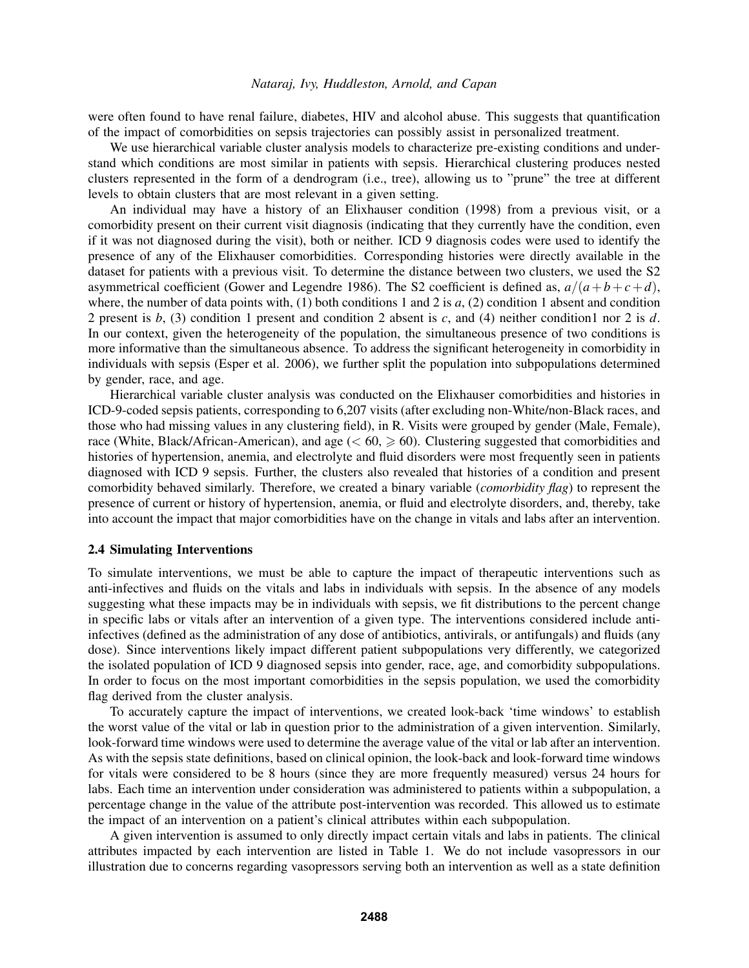were often found to have renal failure, diabetes, HIV and alcohol abuse. This suggests that quantification of the impact of comorbidities on sepsis trajectories can possibly assist in personalized treatment.

We use hierarchical variable cluster analysis models to characterize pre-existing conditions and understand which conditions are most similar in patients with sepsis. Hierarchical clustering produces nested clusters represented in the form of a dendrogram (i.e., tree), allowing us to "prune" the tree at different levels to obtain clusters that are most relevant in a given setting.

An individual may have a history of an Elixhauser condition (1998) from a previous visit, or a comorbidity present on their current visit diagnosis (indicating that they currently have the condition, even if it was not diagnosed during the visit), both or neither. ICD 9 diagnosis codes were used to identify the presence of any of the Elixhauser comorbidities. Corresponding histories were directly available in the dataset for patients with a previous visit. To determine the distance between two clusters, we used the S2 asymmetrical coefficient (Gower and Legendre 1986). The S2 coefficient is defined as,  $a/(a+b+c+d)$ , where, the number of data points with, (1) both conditions 1 and 2 is *a*, (2) condition 1 absent and condition 2 present is *b*, (3) condition 1 present and condition 2 absent is *c*, and (4) neither condition1 nor 2 is *d*. In our context, given the heterogeneity of the population, the simultaneous presence of two conditions is more informative than the simultaneous absence. To address the significant heterogeneity in comorbidity in individuals with sepsis (Esper et al. 2006), we further split the population into subpopulations determined by gender, race, and age.

Hierarchical variable cluster analysis was conducted on the Elixhauser comorbidities and histories in ICD-9-coded sepsis patients, corresponding to 6,207 visits (after excluding non-White/non-Black races, and those who had missing values in any clustering field), in R. Visits were grouped by gender (Male, Female), race (White, Black/African-American), and age  $(< 60, \ge 60)$ . Clustering suggested that comorbidities and histories of hypertension, anemia, and electrolyte and fluid disorders were most frequently seen in patients diagnosed with ICD 9 sepsis. Further, the clusters also revealed that histories of a condition and present comorbidity behaved similarly. Therefore, we created a binary variable (*comorbidity flag*) to represent the presence of current or history of hypertension, anemia, or fluid and electrolyte disorders, and, thereby, take into account the impact that major comorbidities have on the change in vitals and labs after an intervention.

#### 2.4 Simulating Interventions

To simulate interventions, we must be able to capture the impact of therapeutic interventions such as anti-infectives and fluids on the vitals and labs in individuals with sepsis. In the absence of any models suggesting what these impacts may be in individuals with sepsis, we fit distributions to the percent change in specific labs or vitals after an intervention of a given type. The interventions considered include antiinfectives (defined as the administration of any dose of antibiotics, antivirals, or antifungals) and fluids (any dose). Since interventions likely impact different patient subpopulations very differently, we categorized the isolated population of ICD 9 diagnosed sepsis into gender, race, age, and comorbidity subpopulations. In order to focus on the most important comorbidities in the sepsis population, we used the comorbidity flag derived from the cluster analysis.

To accurately capture the impact of interventions, we created look-back 'time windows' to establish the worst value of the vital or lab in question prior to the administration of a given intervention. Similarly, look-forward time windows were used to determine the average value of the vital or lab after an intervention. As with the sepsis state definitions, based on clinical opinion, the look-back and look-forward time windows for vitals were considered to be 8 hours (since they are more frequently measured) versus 24 hours for labs. Each time an intervention under consideration was administered to patients within a subpopulation, a percentage change in the value of the attribute post-intervention was recorded. This allowed us to estimate the impact of an intervention on a patient's clinical attributes within each subpopulation.

A given intervention is assumed to only directly impact certain vitals and labs in patients. The clinical attributes impacted by each intervention are listed in Table 1. We do not include vasopressors in our illustration due to concerns regarding vasopressors serving both an intervention as well as a state definition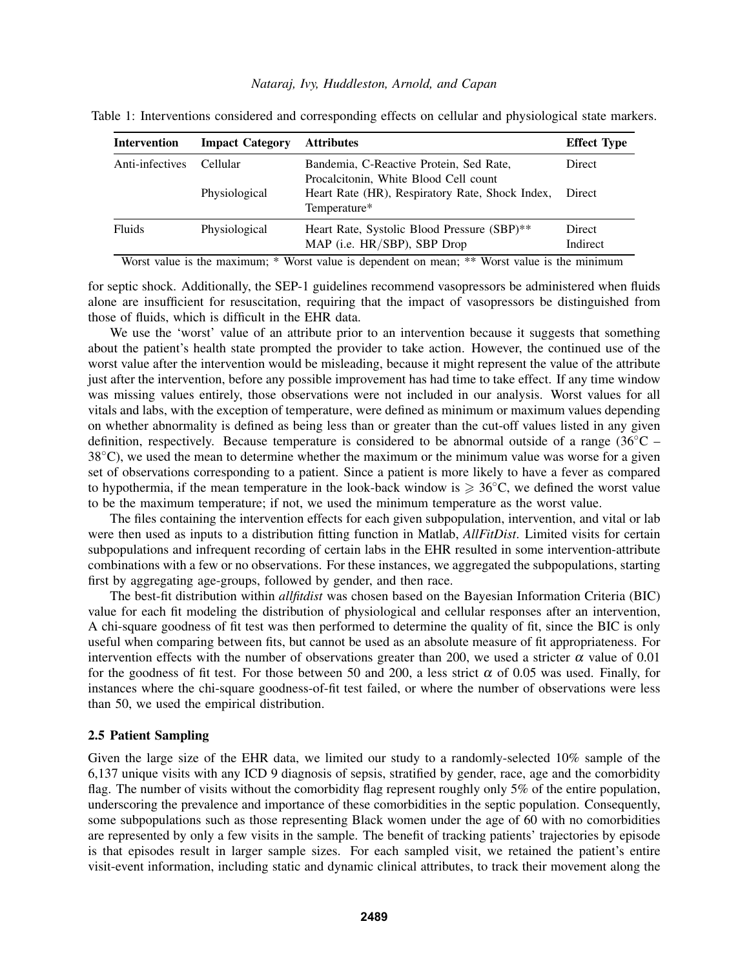### *Nataraj, Ivy, Huddleston, Arnold, and Capan*

| <b>Intervention</b> | <b>Impact Category</b> | <b>Attributes</b>                                               | <b>Effect Type</b> |
|---------------------|------------------------|-----------------------------------------------------------------|--------------------|
|                     |                        |                                                                 |                    |
| Anti-infectives     | Cellular               | Bandemia, C-Reactive Protein, Sed Rate,                         | Direct             |
|                     |                        | Procalcitonin, White Blood Cell count                           |                    |
|                     | Physiological          | Heart Rate (HR), Respiratory Rate, Shock Index,<br>Temperature* | Direct             |
| Fluids              | Physiological          | Heart Rate, Systolic Blood Pressure (SBP)**                     | Direct             |
|                     |                        | MAP (i.e. HR/SBP), SBP Drop                                     | Indirect           |

Table 1: Interventions considered and corresponding effects on cellular and physiological state markers.

Worst value is the maximum; \* Worst value is dependent on mean; \*\* Worst value is the minimum

for septic shock. Additionally, the SEP-1 guidelines recommend vasopressors be administered when fluids alone are insufficient for resuscitation, requiring that the impact of vasopressors be distinguished from those of fluids, which is difficult in the EHR data.

We use the 'worst' value of an attribute prior to an intervention because it suggests that something about the patient's health state prompted the provider to take action. However, the continued use of the worst value after the intervention would be misleading, because it might represent the value of the attribute just after the intervention, before any possible improvement has had time to take effect. If any time window was missing values entirely, those observations were not included in our analysis. Worst values for all vitals and labs, with the exception of temperature, were defined as minimum or maximum values depending on whether abnormality is defined as being less than or greater than the cut-off values listed in any given definition, respectively. Because temperature is considered to be abnormal outside of a range ( $36^{\circ}$ C –  $38^{\circ}$ C), we used the mean to determine whether the maximum or the minimum value was worse for a given set of observations corresponding to a patient. Since a patient is more likely to have a fever as compared to hypothermia, if the mean temperature in the look-back window is  $\geq 36^{\circ}$ C, we defined the worst value to be the maximum temperature; if not, we used the minimum temperature as the worst value.

The files containing the intervention effects for each given subpopulation, intervention, and vital or lab were then used as inputs to a distribution fitting function in Matlab, *AllFitDist*. Limited visits for certain subpopulations and infrequent recording of certain labs in the EHR resulted in some intervention-attribute combinations with a few or no observations. For these instances, we aggregated the subpopulations, starting first by aggregating age-groups, followed by gender, and then race.

The best-fit distribution within *allfitdist* was chosen based on the Bayesian Information Criteria (BIC) value for each fit modeling the distribution of physiological and cellular responses after an intervention, A chi-square goodness of fit test was then performed to determine the quality of fit, since the BIC is only useful when comparing between fits, but cannot be used as an absolute measure of fit appropriateness. For intervention effects with the number of observations greater than 200, we used a stricter  $\alpha$  value of 0.01 for the goodness of fit test. For those between 50 and 200, a less strict  $\alpha$  of 0.05 was used. Finally, for instances where the chi-square goodness-of-fit test failed, or where the number of observations were less than 50, we used the empirical distribution.

### 2.5 Patient Sampling

Given the large size of the EHR data, we limited our study to a randomly-selected 10% sample of the 6,137 unique visits with any ICD 9 diagnosis of sepsis, stratified by gender, race, age and the comorbidity flag. The number of visits without the comorbidity flag represent roughly only 5% of the entire population, underscoring the prevalence and importance of these comorbidities in the septic population. Consequently, some subpopulations such as those representing Black women under the age of 60 with no comorbidities are represented by only a few visits in the sample. The benefit of tracking patients' trajectories by episode is that episodes result in larger sample sizes. For each sampled visit, we retained the patient's entire visit-event information, including static and dynamic clinical attributes, to track their movement along the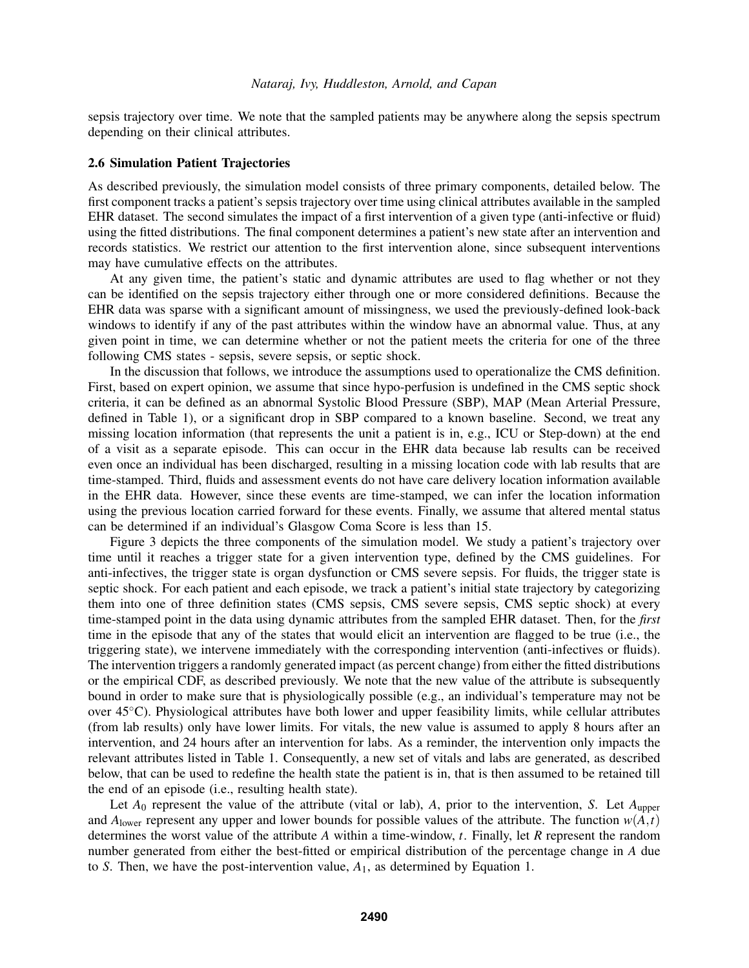sepsis trajectory over time. We note that the sampled patients may be anywhere along the sepsis spectrum depending on their clinical attributes.

### 2.6 Simulation Patient Trajectories

As described previously, the simulation model consists of three primary components, detailed below. The first component tracks a patient's sepsis trajectory over time using clinical attributes available in the sampled EHR dataset. The second simulates the impact of a first intervention of a given type (anti-infective or fluid) using the fitted distributions. The final component determines a patient's new state after an intervention and records statistics. We restrict our attention to the first intervention alone, since subsequent interventions may have cumulative effects on the attributes.

At any given time, the patient's static and dynamic attributes are used to flag whether or not they can be identified on the sepsis trajectory either through one or more considered definitions. Because the EHR data was sparse with a significant amount of missingness, we used the previously-defined look-back windows to identify if any of the past attributes within the window have an abnormal value. Thus, at any given point in time, we can determine whether or not the patient meets the criteria for one of the three following CMS states - sepsis, severe sepsis, or septic shock.

In the discussion that follows, we introduce the assumptions used to operationalize the CMS definition. First, based on expert opinion, we assume that since hypo-perfusion is undefined in the CMS septic shock criteria, it can be defined as an abnormal Systolic Blood Pressure (SBP), MAP (Mean Arterial Pressure, defined in Table 1), or a significant drop in SBP compared to a known baseline. Second, we treat any missing location information (that represents the unit a patient is in, e.g., ICU or Step-down) at the end of a visit as a separate episode. This can occur in the EHR data because lab results can be received even once an individual has been discharged, resulting in a missing location code with lab results that are time-stamped. Third, fluids and assessment events do not have care delivery location information available in the EHR data. However, since these events are time-stamped, we can infer the location information using the previous location carried forward for these events. Finally, we assume that altered mental status can be determined if an individual's Glasgow Coma Score is less than 15.

Figure 3 depicts the three components of the simulation model. We study a patient's trajectory over time until it reaches a trigger state for a given intervention type, defined by the CMS guidelines. For anti-infectives, the trigger state is organ dysfunction or CMS severe sepsis. For fluids, the trigger state is septic shock. For each patient and each episode, we track a patient's initial state trajectory by categorizing them into one of three definition states (CMS sepsis, CMS severe sepsis, CMS septic shock) at every time-stamped point in the data using dynamic attributes from the sampled EHR dataset. Then, for the *first* time in the episode that any of the states that would elicit an intervention are flagged to be true (i.e., the triggering state), we intervene immediately with the corresponding intervention (anti-infectives or fluids). The intervention triggers a randomly generated impact (as percent change) from either the fitted distributions or the empirical CDF, as described previously. We note that the new value of the attribute is subsequently bound in order to make sure that is physiologically possible (e.g., an individual's temperature may not be over 45◦C). Physiological attributes have both lower and upper feasibility limits, while cellular attributes (from lab results) only have lower limits. For vitals, the new value is assumed to apply 8 hours after an intervention, and 24 hours after an intervention for labs. As a reminder, the intervention only impacts the relevant attributes listed in Table 1. Consequently, a new set of vitals and labs are generated, as described below, that can be used to redefine the health state the patient is in, that is then assumed to be retained till the end of an episode (i.e., resulting health state).

Let  $A_0$  represent the value of the attribute (vital or lab),  $A$ , prior to the intervention,  $S$ . Let  $A_{\text{upper}}$ and  $A_{\text{lower}}$  represent any upper and lower bounds for possible values of the attribute. The function  $w(A, t)$ determines the worst value of the attribute *A* within a time-window, *t*. Finally, let *R* represent the random number generated from either the best-fitted or empirical distribution of the percentage change in *A* due to *S*. Then, we have the post-intervention value, *A*1, as determined by Equation 1.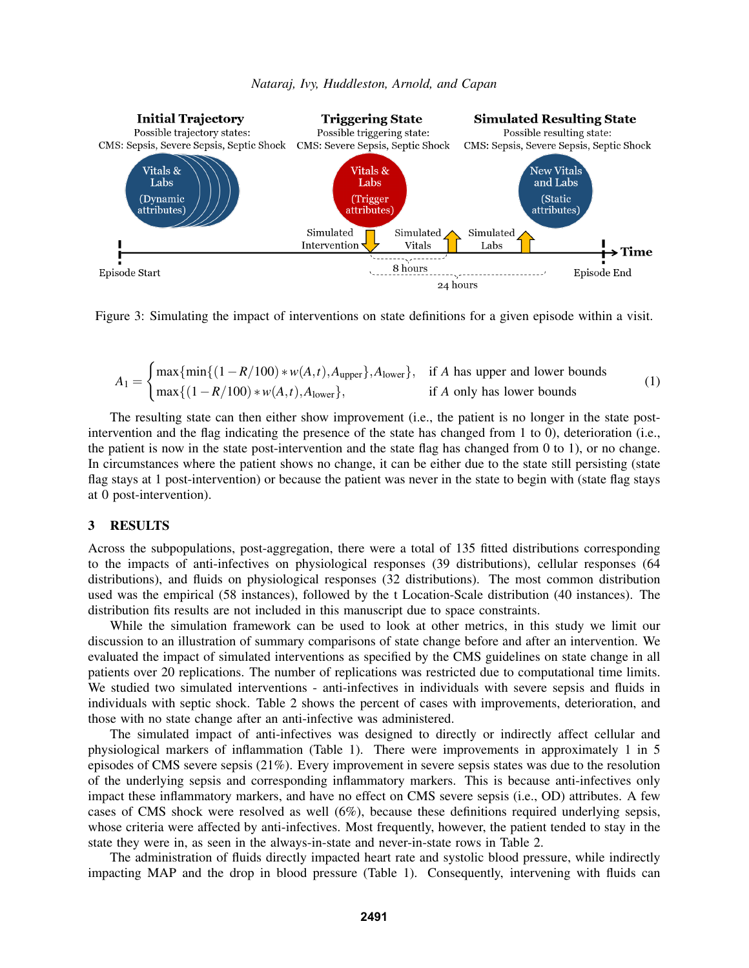

Figure 3: Simulating the impact of interventions on state definitions for a given episode within a visit.

$$
A_1 = \begin{cases} \max\{\min\{(1 - R/100) * w(A, t), A_{\text{upper}}\}, A_{\text{lower}}\}, & \text{if } A \text{ has upper and lower bounds} \\ \max\{(1 - R/100) * w(A, t), A_{\text{lower}}\}, & \text{if } A \text{ only has lower bounds} \end{cases}
$$
(1)

The resulting state can then either show improvement (i.e., the patient is no longer in the state postintervention and the flag indicating the presence of the state has changed from 1 to 0), deterioration (i.e., the patient is now in the state post-intervention and the state flag has changed from 0 to 1), or no change. In circumstances where the patient shows no change, it can be either due to the state still persisting (state flag stays at 1 post-intervention) or because the patient was never in the state to begin with (state flag stays at 0 post-intervention).

### 3 RESULTS

Across the subpopulations, post-aggregation, there were a total of 135 fitted distributions corresponding to the impacts of anti-infectives on physiological responses (39 distributions), cellular responses (64 distributions), and fluids on physiological responses (32 distributions). The most common distribution used was the empirical (58 instances), followed by the t Location-Scale distribution (40 instances). The distribution fits results are not included in this manuscript due to space constraints.

While the simulation framework can be used to look at other metrics, in this study we limit our discussion to an illustration of summary comparisons of state change before and after an intervention. We evaluated the impact of simulated interventions as specified by the CMS guidelines on state change in all patients over 20 replications. The number of replications was restricted due to computational time limits. We studied two simulated interventions - anti-infectives in individuals with severe sepsis and fluids in individuals with septic shock. Table 2 shows the percent of cases with improvements, deterioration, and those with no state change after an anti-infective was administered.

The simulated impact of anti-infectives was designed to directly or indirectly affect cellular and physiological markers of inflammation (Table 1). There were improvements in approximately 1 in 5 episodes of CMS severe sepsis (21%). Every improvement in severe sepsis states was due to the resolution of the underlying sepsis and corresponding inflammatory markers. This is because anti-infectives only impact these inflammatory markers, and have no effect on CMS severe sepsis (i.e., OD) attributes. A few cases of CMS shock were resolved as well (6%), because these definitions required underlying sepsis, whose criteria were affected by anti-infectives. Most frequently, however, the patient tended to stay in the state they were in, as seen in the always-in-state and never-in-state rows in Table 2.

The administration of fluids directly impacted heart rate and systolic blood pressure, while indirectly impacting MAP and the drop in blood pressure (Table 1). Consequently, intervening with fluids can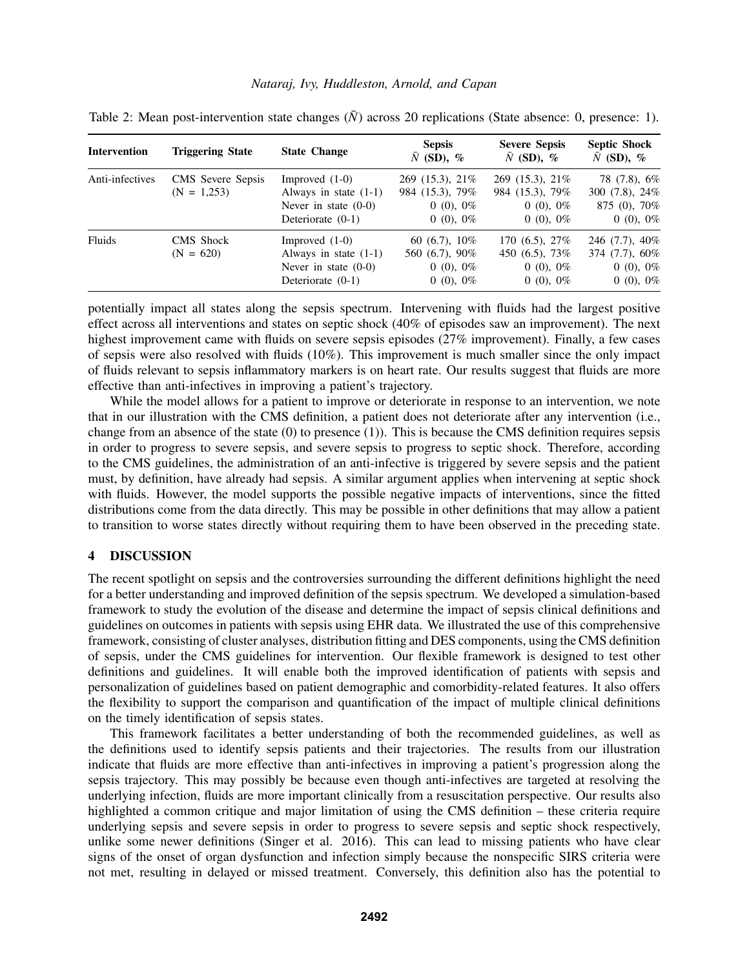### *Nataraj, Ivy, Huddleston, Arnold, and Capan*

| <b>Intervention</b> | <b>Triggering State</b>            | <b>State Change</b>                                                                          | <b>Sepsis</b><br>$\bar{N}$ (SD), %                               | <b>Severe Sepsis</b><br>$\bar{N}$ (SD), %                              | <b>Septic Shock</b><br>$\bar{N}$ (SD), %                              |
|---------------------|------------------------------------|----------------------------------------------------------------------------------------------|------------------------------------------------------------------|------------------------------------------------------------------------|-----------------------------------------------------------------------|
| Anti-infectives     | CMS Severe Sepsis<br>$(N = 1,253)$ | Improved $(1-0)$<br>Always in state $(1-1)$<br>Never in state $(0-0)$<br>Deteriorate $(0-1)$ | 269 (15.3), 21%<br>984 (15.3), 79%<br>$0(0), 0\%$<br>$0(0), 0\%$ | 269 (15.3), 21\%<br>984 (15.3), 79%<br>$0(0), 0\%$<br>$0(0), 0\%$      | 78 (7.8), 6%<br>300 $(7.8)$ , 24%<br>$875(0)$ , $70\%$<br>$0(0), 0\%$ |
| Fluids              | CMS Shock<br>$(N = 620)$           | Improved $(1-0)$<br>Always in state $(1-1)$<br>Never in state $(0-0)$<br>Deteriorate $(0-1)$ | $60(6.7), 10\%$<br>560 (6.7), 90%<br>$0(0), 0\%$<br>$0(0), 0\%$  | 170 $(6.5)$ , 27\%<br>450 $(6.5)$ , 73\%<br>$0(0), 0\%$<br>$0(0), 0\%$ | $246(7.7), 40\%$<br>374 $(7.7)$ , 60%<br>$0(0), 0\%$<br>$0(0), 0\%$   |

Table 2: Mean post-intervention state changes  $(N)$  across 20 replications (State absence: 0, presence: 1).

potentially impact all states along the sepsis spectrum. Intervening with fluids had the largest positive effect across all interventions and states on septic shock (40% of episodes saw an improvement). The next highest improvement came with fluids on severe sepsis episodes (27% improvement). Finally, a few cases of sepsis were also resolved with fluids (10%). This improvement is much smaller since the only impact of fluids relevant to sepsis inflammatory markers is on heart rate. Our results suggest that fluids are more effective than anti-infectives in improving a patient's trajectory.

While the model allows for a patient to improve or deteriorate in response to an intervention, we note that in our illustration with the CMS definition, a patient does not deteriorate after any intervention (i.e., change from an absence of the state  $(0)$  to presence  $(1)$ ). This is because the CMS definition requires sepsis in order to progress to severe sepsis, and severe sepsis to progress to septic shock. Therefore, according to the CMS guidelines, the administration of an anti-infective is triggered by severe sepsis and the patient must, by definition, have already had sepsis. A similar argument applies when intervening at septic shock with fluids. However, the model supports the possible negative impacts of interventions, since the fitted distributions come from the data directly. This may be possible in other definitions that may allow a patient to transition to worse states directly without requiring them to have been observed in the preceding state.

### 4 DISCUSSION

The recent spotlight on sepsis and the controversies surrounding the different definitions highlight the need for a better understanding and improved definition of the sepsis spectrum. We developed a simulation-based framework to study the evolution of the disease and determine the impact of sepsis clinical definitions and guidelines on outcomes in patients with sepsis using EHR data. We illustrated the use of this comprehensive framework, consisting of cluster analyses, distribution fitting and DES components, using the CMS definition of sepsis, under the CMS guidelines for intervention. Our flexible framework is designed to test other definitions and guidelines. It will enable both the improved identification of patients with sepsis and personalization of guidelines based on patient demographic and comorbidity-related features. It also offers the flexibility to support the comparison and quantification of the impact of multiple clinical definitions on the timely identification of sepsis states.

This framework facilitates a better understanding of both the recommended guidelines, as well as the definitions used to identify sepsis patients and their trajectories. The results from our illustration indicate that fluids are more effective than anti-infectives in improving a patient's progression along the sepsis trajectory. This may possibly be because even though anti-infectives are targeted at resolving the underlying infection, fluids are more important clinically from a resuscitation perspective. Our results also highlighted a common critique and major limitation of using the CMS definition – these criteria require underlying sepsis and severe sepsis in order to progress to severe sepsis and septic shock respectively, unlike some newer definitions (Singer et al. 2016). This can lead to missing patients who have clear signs of the onset of organ dysfunction and infection simply because the nonspecific SIRS criteria were not met, resulting in delayed or missed treatment. Conversely, this definition also has the potential to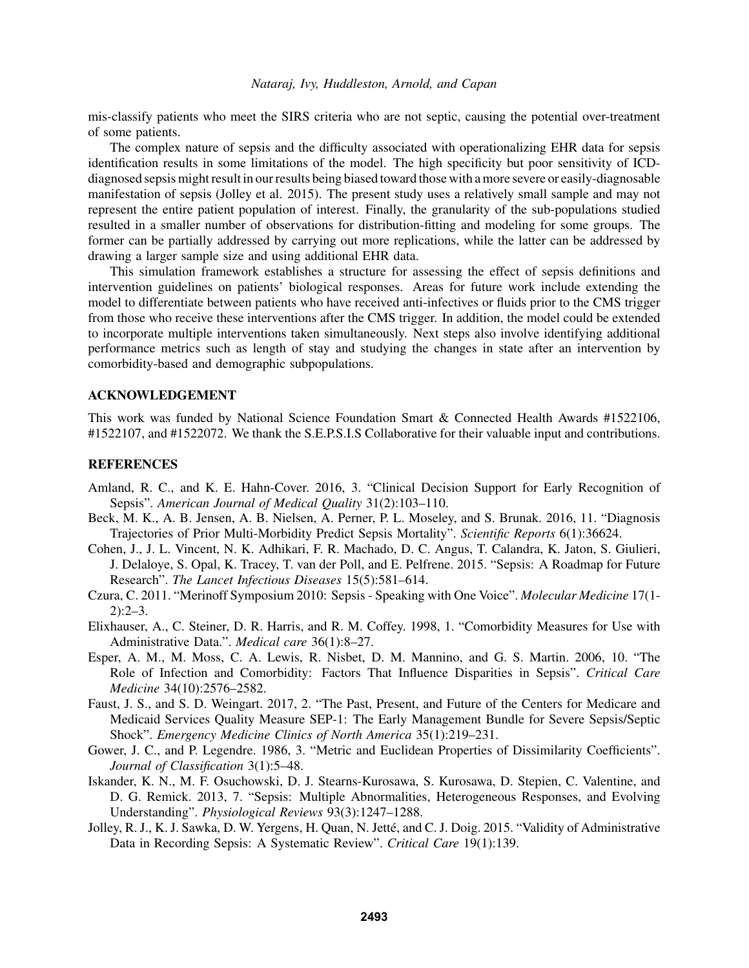mis-classify patients who meet the SIRS criteria who are not septic, causing the potential over-treatment of some patients.

The complex nature of sepsis and the difficulty associated with operationalizing EHR data for sepsis identification results in some limitations of the model. The high specificity but poor sensitivity of ICDdiagnosed sepsis might result in our results being biased toward those with a more severe or easily-diagnosable manifestation of sepsis (Jolley et al. 2015). The present study uses a relatively small sample and may not represent the entire patient population of interest. Finally, the granularity of the sub-populations studied resulted in a smaller number of observations for distribution-fitting and modeling for some groups. The former can be partially addressed by carrying out more replications, while the latter can be addressed by drawing a larger sample size and using additional EHR data.

This simulation framework establishes a structure for assessing the effect of sepsis definitions and intervention guidelines on patients' biological responses. Areas for future work include extending the model to differentiate between patients who have received anti-infectives or fluids prior to the CMS trigger from those who receive these interventions after the CMS trigger. In addition, the model could be extended to incorporate multiple interventions taken simultaneously. Next steps also involve identifying additional performance metrics such as length of stay and studying the changes in state after an intervention by comorbidity-based and demographic subpopulations.

### ACKNOWLEDGEMENT

This work was funded by National Science Foundation Smart & Connected Health Awards #1522106, #1522107, and #1522072. We thank the S.E.P.S.I.S Collaborative for their valuable input and contributions.

#### REFERENCES

- Amland, R. C., and K. E. Hahn-Cover. 2016, 3. "Clinical Decision Support for Early Recognition of Sepsis". *American Journal of Medical Quality* 31(2):103–110.
- Beck, M. K., A. B. Jensen, A. B. Nielsen, A. Perner, P. L. Moseley, and S. Brunak. 2016, 11. "Diagnosis Trajectories of Prior Multi-Morbidity Predict Sepsis Mortality". *Scientific Reports* 6(1):36624.
- Cohen, J., J. L. Vincent, N. K. Adhikari, F. R. Machado, D. C. Angus, T. Calandra, K. Jaton, S. Giulieri, J. Delaloye, S. Opal, K. Tracey, T. van der Poll, and E. Pelfrene. 2015. "Sepsis: A Roadmap for Future Research". *The Lancet Infectious Diseases* 15(5):581–614.
- Czura, C. 2011. "Merinoff Symposium 2010: Sepsis Speaking with One Voice". *Molecular Medicine* 17(1-  $2)$ :  $2-3$ .
- Elixhauser, A., C. Steiner, D. R. Harris, and R. M. Coffey. 1998, 1. "Comorbidity Measures for Use with Administrative Data.". *Medical care* 36(1):8–27.
- Esper, A. M., M. Moss, C. A. Lewis, R. Nisbet, D. M. Mannino, and G. S. Martin. 2006, 10. "The Role of Infection and Comorbidity: Factors That Influence Disparities in Sepsis". *Critical Care Medicine* 34(10):2576–2582.
- Faust, J. S., and S. D. Weingart. 2017, 2. "The Past, Present, and Future of the Centers for Medicare and Medicaid Services Quality Measure SEP-1: The Early Management Bundle for Severe Sepsis/Septic Shock". *Emergency Medicine Clinics of North America* 35(1):219–231.
- Gower, J. C., and P. Legendre. 1986, 3. "Metric and Euclidean Properties of Dissimilarity Coefficients". *Journal of Classification* 3(1):5–48.
- Iskander, K. N., M. F. Osuchowski, D. J. Stearns-Kurosawa, S. Kurosawa, D. Stepien, C. Valentine, and D. G. Remick. 2013, 7. "Sepsis: Multiple Abnormalities, Heterogeneous Responses, and Evolving Understanding". *Physiological Reviews* 93(3):1247–1288.
- Jolley, R. J., K. J. Sawka, D. W. Yergens, H. Quan, N. Jetté, and C. J. Doig. 2015. "Validity of Administrative Data in Recording Sepsis: A Systematic Review". *Critical Care* 19(1):139.